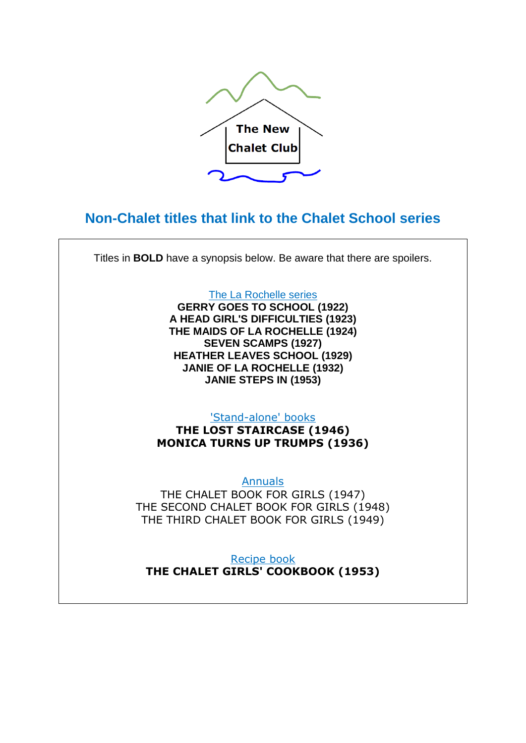

# **Non-Chalet titles that link to the Chalet School series**

Titles in **BOLD** have a synopsis below. Be aware that there are spoilers.

The La Rochelle series **GERRY GOES TO SCHOOL (1922) A HEAD GIRL'S DIFFICULTIES (1923) THE MAIDS OF LA ROCHELLE (1924) SEVEN SCAMPS (1927) HEATHER LEAVES SCHOOL (1929) JANIE OF LA ROCHELLE (1932) JANIE STEPS IN (1953)**

'Stand-alone' books

**THE LOST STAIRCASE (1946) MONICA TURNS UP TRUMPS (1936)**

Annuals THE CHALET BOOK FOR GIRLS (1947) THE SECOND CHALET BOOK FOR GIRLS (1948) THE THIRD CHALET BOOK FOR GIRLS (1949)

Recipe book **THE CHALET GIRLS' COOKBOOK (1953)**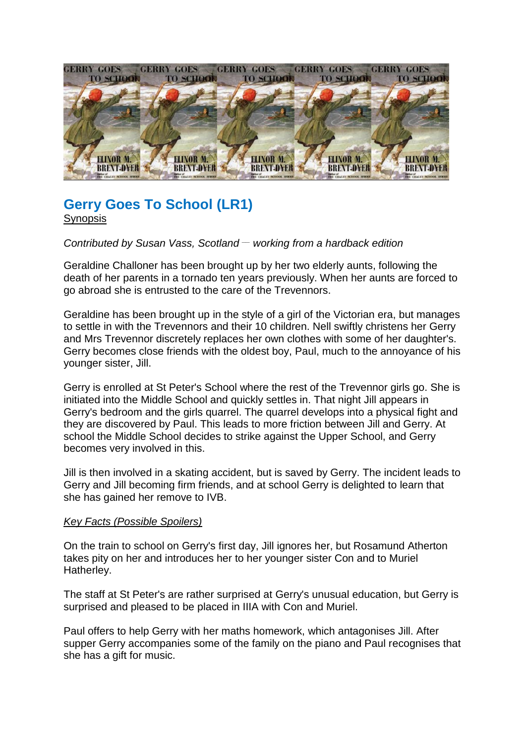

## **Gerry Goes To School (LR1)** Synopsis

*Contributed by Susan Vass, Scotland \_\_ working from a hardback edition*

Geraldine Challoner has been brought up by her two elderly aunts, following the death of her parents in a tornado ten years previously. When her aunts are forced to go abroad she is entrusted to the care of the Trevennors.

Geraldine has been brought up in the style of a girl of the Victorian era, but manages to settle in with the Trevennors and their 10 children. Nell swiftly christens her Gerry and Mrs Trevennor discretely replaces her own clothes with some of her daughter's. Gerry becomes close friends with the oldest boy, Paul, much to the annoyance of his younger sister, Jill.

Gerry is enrolled at St Peter's School where the rest of the Trevennor girls go. She is initiated into the Middle School and quickly settles in. That night Jill appears in Gerry's bedroom and the girls quarrel. The quarrel develops into a physical fight and they are discovered by Paul. This leads to more friction between Jill and Gerry. At school the Middle School decides to strike against the Upper School, and Gerry becomes very involved in this.

Jill is then involved in a skating accident, but is saved by Gerry. The incident leads to Gerry and Jill becoming firm friends, and at school Gerry is delighted to learn that she has gained her remove to IVB.

#### *Key Facts (Possible Spoilers)*

On the train to school on Gerry's first day, Jill ignores her, but Rosamund Atherton takes pity on her and introduces her to her younger sister Con and to Muriel Hatherley.

The staff at St Peter's are rather surprised at Gerry's unusual education, but Gerry is surprised and pleased to be placed in IIIA with Con and Muriel.

Paul offers to help Gerry with her maths homework, which antagonises Jill. After supper Gerry accompanies some of the family on the piano and Paul recognises that she has a gift for music.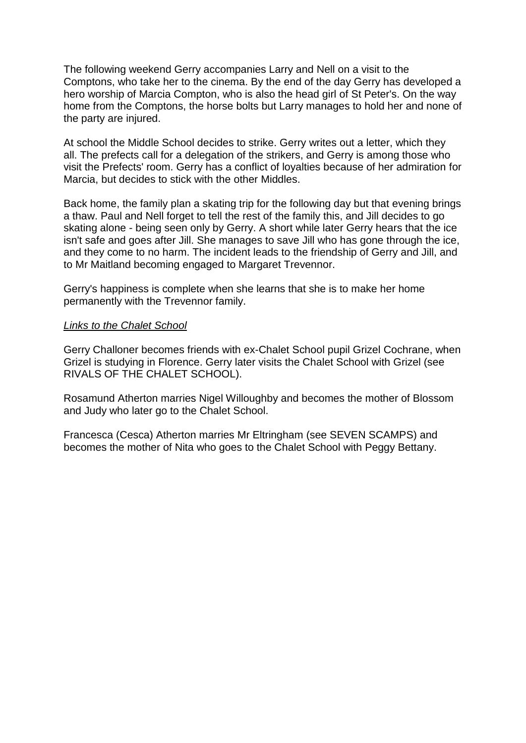The following weekend Gerry accompanies Larry and Nell on a visit to the Comptons, who take her to the cinema. By the end of the day Gerry has developed a hero worship of Marcia Compton, who is also the head girl of St Peter's. On the way home from the Comptons, the horse bolts but Larry manages to hold her and none of the party are injured.

At school the Middle School decides to strike. Gerry writes out a letter, which they all. The prefects call for a delegation of the strikers, and Gerry is among those who visit the Prefects' room. Gerry has a conflict of loyalties because of her admiration for Marcia, but decides to stick with the other Middles.

Back home, the family plan a skating trip for the following day but that evening brings a thaw. Paul and Nell forget to tell the rest of the family this, and Jill decides to go skating alone - being seen only by Gerry. A short while later Gerry hears that the ice isn't safe and goes after Jill. She manages to save Jill who has gone through the ice, and they come to no harm. The incident leads to the friendship of Gerry and Jill, and to Mr Maitland becoming engaged to Margaret Trevennor.

Gerry's happiness is complete when she learns that she is to make her home permanently with the Trevennor family.

#### *Links to the Chalet School*

Gerry Challoner becomes friends with ex-Chalet School pupil Grizel Cochrane, when Grizel is studying in Florence. Gerry later visits the Chalet School with Grizel (see RIVALS OF THE CHALET SCHOOL).

Rosamund Atherton marries Nigel Willoughby and becomes the mother of Blossom and Judy who later go to the Chalet School.

Francesca (Cesca) Atherton marries Mr Eltringham (see SEVEN SCAMPS) and becomes the mother of Nita who goes to the Chalet School with Peggy Bettany.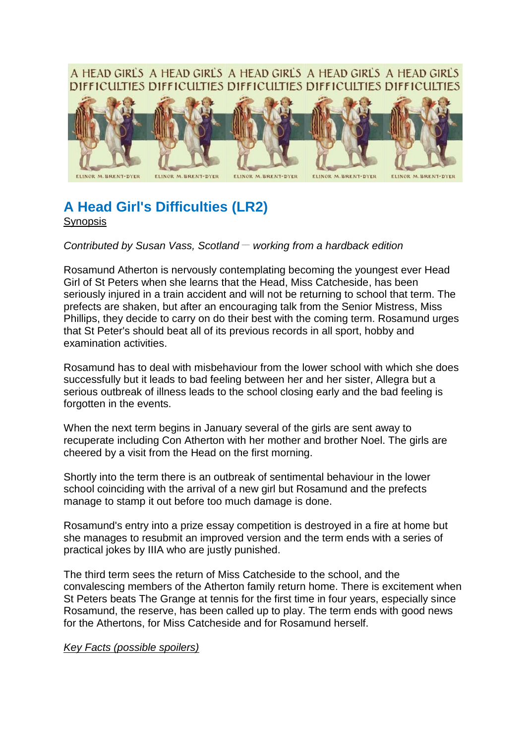## A HEAD GIRLS A HEAD GIRLS A HEAD GIRLS A HEAD GIRLS A HEAD GIRLS DIFFICULTIES DIFFICULTIES DIFFICULTIES DIFFICULTIES DIFFICULTIES



# **A Head Girl's Difficulties (LR2) Synopsis**

*Contributed by Susan Vass, Scotland \_\_ working from a hardback edition*

Rosamund Atherton is nervously contemplating becoming the youngest ever Head Girl of St Peters when she learns that the Head, Miss Catcheside, has been seriously injured in a train accident and will not be returning to school that term. The prefects are shaken, but after an encouraging talk from the Senior Mistress, Miss Phillips, they decide to carry on do their best with the coming term. Rosamund urges that St Peter's should beat all of its previous records in all sport, hobby and examination activities.

Rosamund has to deal with misbehaviour from the lower school with which she does successfully but it leads to bad feeling between her and her sister, Allegra but a serious outbreak of illness leads to the school closing early and the bad feeling is forgotten in the events.

When the next term begins in January several of the girls are sent away to recuperate including Con Atherton with her mother and brother Noel. The girls are cheered by a visit from the Head on the first morning.

Shortly into the term there is an outbreak of sentimental behaviour in the lower school coinciding with the arrival of a new girl but Rosamund and the prefects manage to stamp it out before too much damage is done.

Rosamund's entry into a prize essay competition is destroyed in a fire at home but she manages to resubmit an improved version and the term ends with a series of practical jokes by IIIA who are justly punished.

The third term sees the return of Miss Catcheside to the school, and the convalescing members of the Atherton family return home. There is excitement when St Peters beats The Grange at tennis for the first time in four years, especially since Rosamund, the reserve, has been called up to play. The term ends with good news for the Athertons, for Miss Catcheside and for Rosamund herself.

#### *Key Facts (possible spoilers)*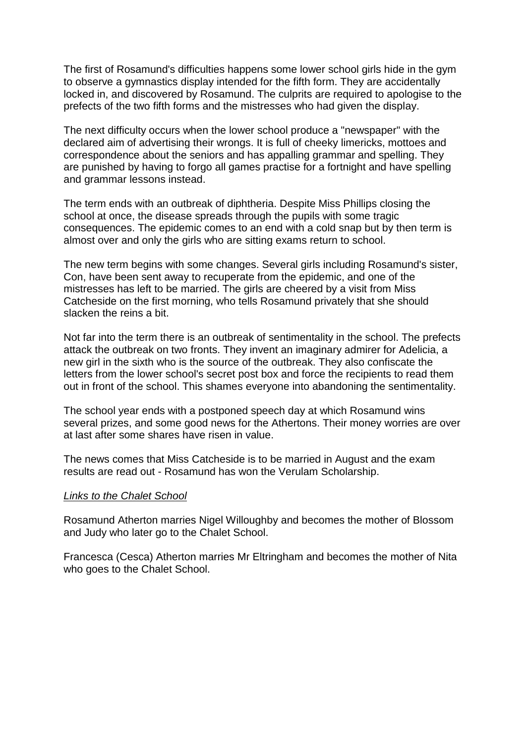The first of Rosamund's difficulties happens some lower school girls hide in the gym to observe a gymnastics display intended for the fifth form. They are accidentally locked in, and discovered by Rosamund. The culprits are required to apologise to the prefects of the two fifth forms and the mistresses who had given the display.

The next difficulty occurs when the lower school produce a "newspaper" with the declared aim of advertising their wrongs. It is full of cheeky limericks, mottoes and correspondence about the seniors and has appalling grammar and spelling. They are punished by having to forgo all games practise for a fortnight and have spelling and grammar lessons instead.

The term ends with an outbreak of diphtheria. Despite Miss Phillips closing the school at once, the disease spreads through the pupils with some tragic consequences. The epidemic comes to an end with a cold snap but by then term is almost over and only the girls who are sitting exams return to school.

The new term begins with some changes. Several girls including Rosamund's sister, Con, have been sent away to recuperate from the epidemic, and one of the mistresses has left to be married. The girls are cheered by a visit from Miss Catcheside on the first morning, who tells Rosamund privately that she should slacken the reins a bit.

Not far into the term there is an outbreak of sentimentality in the school. The prefects attack the outbreak on two fronts. They invent an imaginary admirer for Adelicia, a new girl in the sixth who is the source of the outbreak. They also confiscate the letters from the lower school's secret post box and force the recipients to read them out in front of the school. This shames everyone into abandoning the sentimentality.

The school year ends with a postponed speech day at which Rosamund wins several prizes, and some good news for the Athertons. Their money worries are over at last after some shares have risen in value.

The news comes that Miss Catcheside is to be married in August and the exam results are read out - Rosamund has won the Verulam Scholarship.

#### *Links to the Chalet School*

Rosamund Atherton marries Nigel Willoughby and becomes the mother of Blossom and Judy who later go to the Chalet School.

Francesca (Cesca) Atherton marries Mr Eltringham and becomes the mother of Nita who goes to the Chalet School.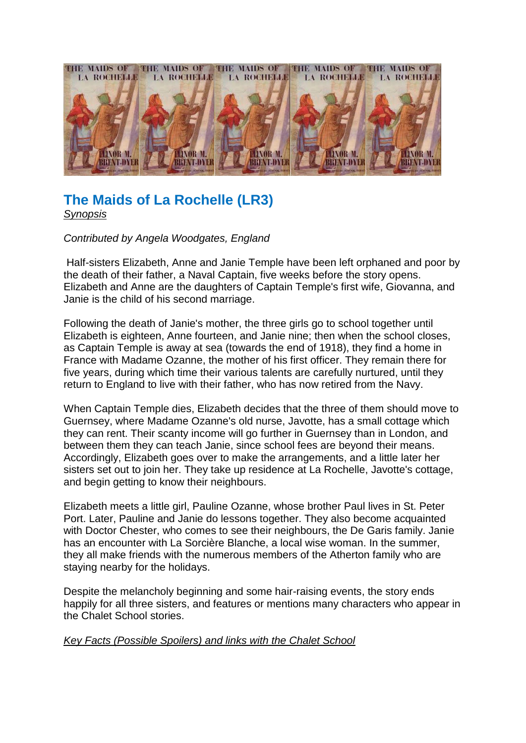

# **The Maids of La Rochelle (LR3)** *Synopsis*

*Contributed by Angela Woodgates, England*

Half-sisters Elizabeth, Anne and Janie Temple have been left orphaned and poor by the death of their father, a Naval Captain, five weeks before the story opens. Elizabeth and Anne are the daughters of Captain Temple's first wife, Giovanna, and Janie is the child of his second marriage.

Following the death of Janie's mother, the three girls go to school together until Elizabeth is eighteen, Anne fourteen, and Janie nine; then when the school closes, as Captain Temple is away at sea (towards the end of 1918), they find a home in France with Madame Ozanne, the mother of his first officer. They remain there for five years, during which time their various talents are carefully nurtured, until they return to England to live with their father, who has now retired from the Navy.

When Captain Temple dies, Elizabeth decides that the three of them should move to Guernsey, where Madame Ozanne's old nurse, Javotte, has a small cottage which they can rent. Their scanty income will go further in Guernsey than in London, and between them they can teach Janie, since school fees are beyond their means. Accordingly, Elizabeth goes over to make the arrangements, and a little later her sisters set out to join her. They take up residence at La Rochelle, Javotte's cottage, and begin getting to know their neighbours.

Elizabeth meets a little girl, Pauline Ozanne, whose brother Paul lives in St. Peter Port. Later, Pauline and Janie do lessons together. They also become acquainted with Doctor Chester, who comes to see their neighbours, the De Garis family. Janie has an encounter with La Sorcière Blanche, a local wise woman. In the summer, they all make friends with the numerous members of the Atherton family who are staying nearby for the holidays.

Despite the melancholy beginning and some hair-raising events, the story ends happily for all three sisters, and features or mentions many characters who appear in the Chalet School stories.

## *Key Facts (Possible Spoilers) and links with the Chalet School*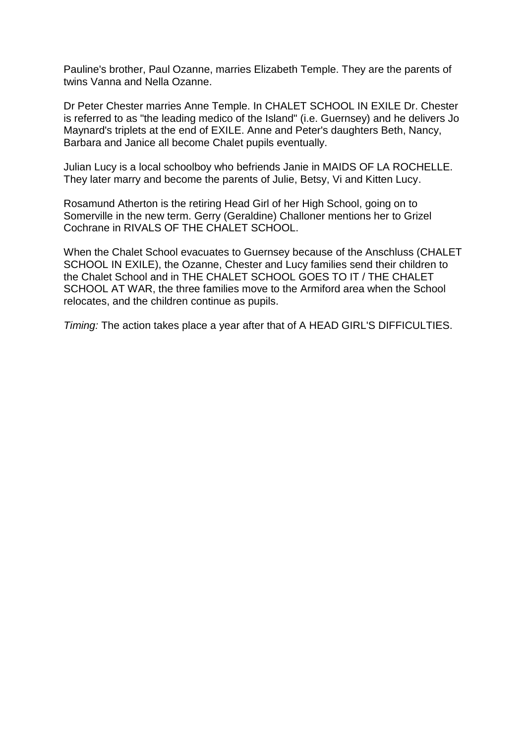Pauline's brother, Paul Ozanne, marries Elizabeth Temple. They are the parents of twins Vanna and Nella Ozanne.

Dr Peter Chester marries Anne Temple. In CHALET SCHOOL IN EXILE Dr. Chester is referred to as "the leading medico of the Island" (i.e. Guernsey) and he delivers Jo Maynard's triplets at the end of EXILE. Anne and Peter's daughters Beth, Nancy, Barbara and Janice all become Chalet pupils eventually.

Julian Lucy is a local schoolboy who befriends Janie in MAIDS OF LA ROCHELLE. They later marry and become the parents of Julie, Betsy, Vi and Kitten Lucy.

Rosamund Atherton is the retiring Head Girl of her High School, going on to Somerville in the new term. Gerry (Geraldine) Challoner mentions her to Grizel Cochrane in RIVALS OF THE CHALET SCHOOL.

When the Chalet School evacuates to Guernsey because of the Anschluss (CHALET SCHOOL IN EXILE), the Ozanne, Chester and Lucy families send their children to the Chalet School and in THE CHALET SCHOOL GOES TO IT / THE CHALET SCHOOL AT WAR, the three families move to the Armiford area when the School relocates, and the children continue as pupils.

*Timing:* The action takes place a year after that of A HEAD GIRL'S DIFFICULTIES.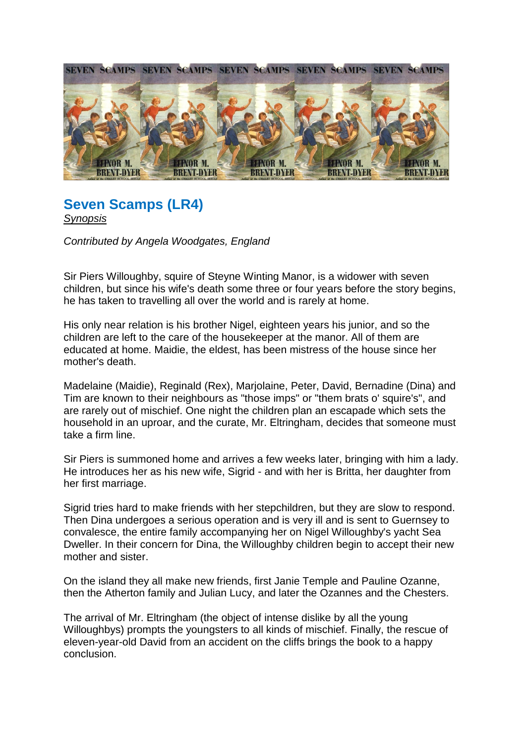

## **Seven Scamps (LR4)** *Synopsis*

*Contributed by Angela Woodgates, England*

Sir Piers Willoughby, squire of Steyne Winting Manor, is a widower with seven children, but since his wife's death some three or four years before the story begins, he has taken to travelling all over the world and is rarely at home.

His only near relation is his brother Nigel, eighteen years his junior, and so the children are left to the care of the housekeeper at the manor. All of them are educated at home. Maidie, the eldest, has been mistress of the house since her mother's death.

Madelaine (Maidie), Reginald (Rex), Marjolaine, Peter, David, Bernadine (Dina) and Tim are known to their neighbours as "those imps" or "them brats o' squire's", and are rarely out of mischief. One night the children plan an escapade which sets the household in an uproar, and the curate, Mr. Eltringham, decides that someone must take a firm line.

Sir Piers is summoned home and arrives a few weeks later, bringing with him a lady. He introduces her as his new wife, Sigrid - and with her is Britta, her daughter from her first marriage.

Sigrid tries hard to make friends with her stepchildren, but they are slow to respond. Then Dina undergoes a serious operation and is very ill and is sent to Guernsey to convalesce, the entire family accompanying her on Nigel Willoughby's yacht Sea Dweller. In their concern for Dina, the Willoughby children begin to accept their new mother and sister.

On the island they all make new friends, first Janie Temple and Pauline Ozanne, then the Atherton family and Julian Lucy, and later the Ozannes and the Chesters.

The arrival of Mr. Eltringham (the object of intense dislike by all the young Willoughbys) prompts the youngsters to all kinds of mischief. Finally, the rescue of eleven-year-old David from an accident on the cliffs brings the book to a happy conclusion.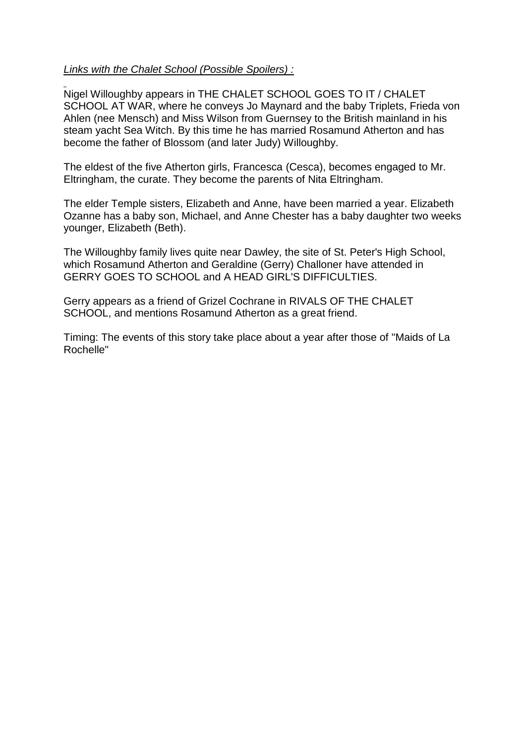## *Links with the Chalet School (Possible Spoilers) :*

Nigel Willoughby appears in THE CHALET SCHOOL GOES TO IT / CHALET SCHOOL AT WAR, where he conveys Jo Maynard and the baby Triplets, Frieda von Ahlen (nee Mensch) and Miss Wilson from Guernsey to the British mainland in his steam yacht Sea Witch. By this time he has married Rosamund Atherton and has become the father of Blossom (and later Judy) Willoughby.

The eldest of the five Atherton girls, Francesca (Cesca), becomes engaged to Mr. Eltringham, the curate. They become the parents of Nita Eltringham.

The elder Temple sisters, Elizabeth and Anne, have been married a year. Elizabeth Ozanne has a baby son, Michael, and Anne Chester has a baby daughter two weeks younger, Elizabeth (Beth).

The Willoughby family lives quite near Dawley, the site of St. Peter's High School, which Rosamund Atherton and Geraldine (Gerry) Challoner have attended in GERRY GOES TO SCHOOL and A HEAD GIRL'S DIFFICULTIES.

Gerry appears as a friend of Grizel Cochrane in RIVALS OF THE CHALET SCHOOL, and mentions Rosamund Atherton as a great friend.

Timing: The events of this story take place about a year after those of "Maids of La Rochelle"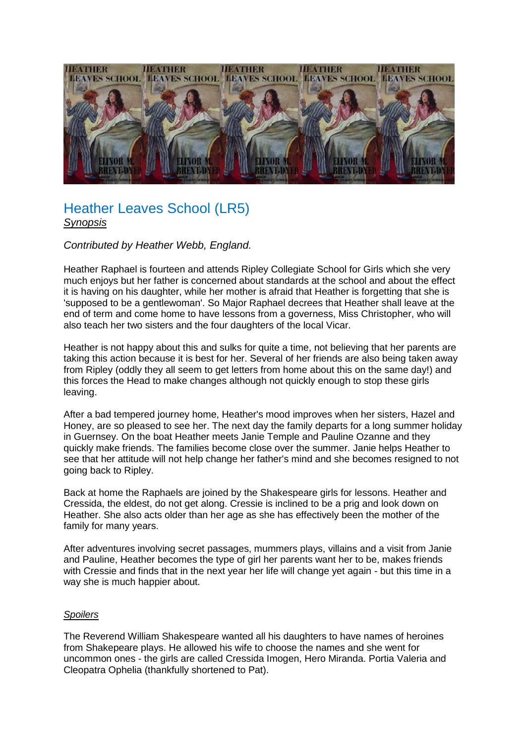

# Heather Leaves School (LR5) *Synopsis*

#### *Contributed by Heather Webb, England.*

Heather Raphael is fourteen and attends Ripley Collegiate School for Girls which she very much enjoys but her father is concerned about standards at the school and about the effect it is having on his daughter, while her mother is afraid that Heather is forgetting that she is 'supposed to be a gentlewoman'. So Major Raphael decrees that Heather shall leave at the end of term and come home to have lessons from a governess, Miss Christopher, who will also teach her two sisters and the four daughters of the local Vicar.

Heather is not happy about this and sulks for quite a time, not believing that her parents are taking this action because it is best for her. Several of her friends are also being taken away from Ripley (oddly they all seem to get letters from home about this on the same day!) and this forces the Head to make changes although not quickly enough to stop these girls leaving.

After a bad tempered journey home, Heather's mood improves when her sisters, Hazel and Honey, are so pleased to see her. The next day the family departs for a long summer holiday in Guernsey. On the boat Heather meets Janie Temple and Pauline Ozanne and they quickly make friends. The families become close over the summer. Janie helps Heather to see that her attitude will not help change her father's mind and she becomes resigned to not going back to Ripley.

Back at home the Raphaels are joined by the Shakespeare girls for lessons. Heather and Cressida, the eldest, do not get along. Cressie is inclined to be a prig and look down on Heather. She also acts older than her age as she has effectively been the mother of the family for many years.

After adventures involving secret passages, mummers plays, villains and a visit from Janie and Pauline, Heather becomes the type of girl her parents want her to be, makes friends with Cressie and finds that in the next year her life will change yet again - but this time in a way she is much happier about.

#### *Spoilers*

The Reverend William Shakespeare wanted all his daughters to have names of heroines from Shakepeare plays. He allowed his wife to choose the names and she went for uncommon ones - the girls are called Cressida Imogen, Hero Miranda. Portia Valeria and Cleopatra Ophelia (thankfully shortened to Pat).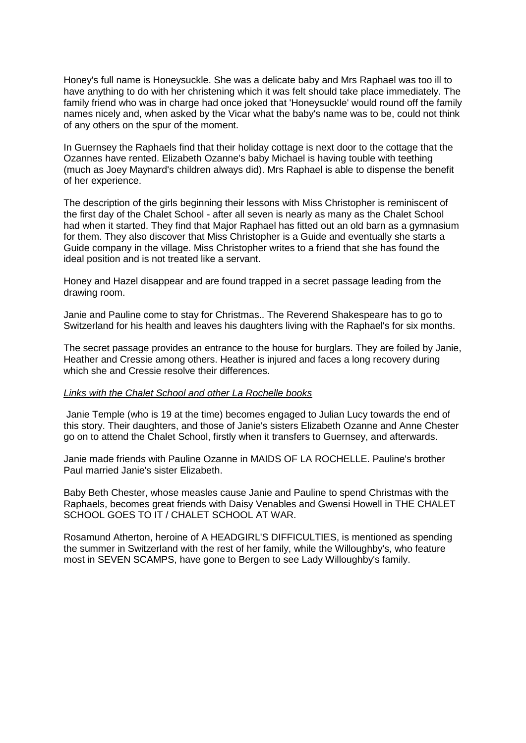Honey's full name is Honeysuckle. She was a delicate baby and Mrs Raphael was too ill to have anything to do with her christening which it was felt should take place immediately. The family friend who was in charge had once joked that 'Honeysuckle' would round off the family names nicely and, when asked by the Vicar what the baby's name was to be, could not think of any others on the spur of the moment.

In Guernsey the Raphaels find that their holiday cottage is next door to the cottage that the Ozannes have rented. Elizabeth Ozanne's baby Michael is having touble with teething (much as Joey Maynard's children always did). Mrs Raphael is able to dispense the benefit of her experience.

The description of the girls beginning their lessons with Miss Christopher is reminiscent of the first day of the Chalet School - after all seven is nearly as many as the Chalet School had when it started. They find that Major Raphael has fitted out an old barn as a gymnasium for them. They also discover that Miss Christopher is a Guide and eventually she starts a Guide company in the village. Miss Christopher writes to a friend that she has found the ideal position and is not treated like a servant.

Honey and Hazel disappear and are found trapped in a secret passage leading from the drawing room.

Janie and Pauline come to stay for Christmas.. The Reverend Shakespeare has to go to Switzerland for his health and leaves his daughters living with the Raphael's for six months.

The secret passage provides an entrance to the house for burglars. They are foiled by Janie, Heather and Cressie among others. Heather is injured and faces a long recovery during which she and Cressie resolve their differences.

#### *Links with the Chalet School and other La Rochelle books*

Janie Temple (who is 19 at the time) becomes engaged to Julian Lucy towards the end of this story. Their daughters, and those of Janie's sisters Elizabeth Ozanne and Anne Chester go on to attend the Chalet School, firstly when it transfers to Guernsey, and afterwards.

Janie made friends with Pauline Ozanne in MAIDS OF LA ROCHELLE. Pauline's brother Paul married Janie's sister Elizabeth.

Baby Beth Chester, whose measles cause Janie and Pauline to spend Christmas with the Raphaels, becomes great friends with Daisy Venables and Gwensi Howell in THE CHALET SCHOOL GOES TO IT / CHALET SCHOOL AT WAR.

Rosamund Atherton, heroine of A HEADGIRL'S DIFFICULTIES, is mentioned as spending the summer in Switzerland with the rest of her family, while the Willoughby's, who feature most in SEVEN SCAMPS, have gone to Bergen to see Lady Willoughby's family.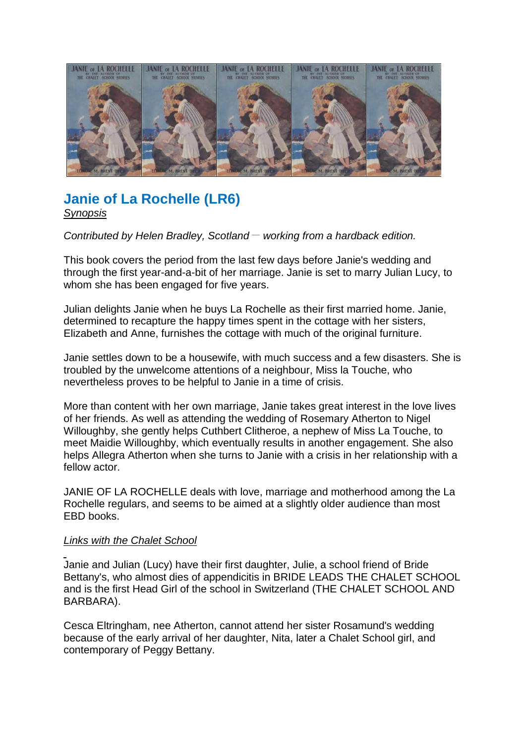

# **Janie of La Rochelle (LR6)** *Synopsis*

*Contributed by Helen Bradley, Scotland – working from a hardback edition.* 

This book covers the period from the last few days before Janie's wedding and through the first year-and-a-bit of her marriage. Janie is set to marry Julian Lucy, to whom she has been engaged for five years.

Julian delights Janie when he buys La Rochelle as their first married home. Janie, determined to recapture the happy times spent in the cottage with her sisters, Elizabeth and Anne, furnishes the cottage with much of the original furniture.

Janie settles down to be a housewife, with much success and a few disasters. She is troubled by the unwelcome attentions of a neighbour, Miss la Touche, who nevertheless proves to be helpful to Janie in a time of crisis.

More than content with her own marriage, Janie takes great interest in the love lives of her friends. As well as attending the wedding of Rosemary Atherton to Nigel Willoughby, she gently helps Cuthbert Clitheroe, a nephew of Miss La Touche, to meet Maidie Willoughby, which eventually results in another engagement. She also helps Allegra Atherton when she turns to Janie with a crisis in her relationship with a fellow actor.

JANIE OF LA ROCHELLE deals with love, marriage and motherhood among the La Rochelle regulars, and seems to be aimed at a slightly older audience than most EBD books.

## *Links with the Chalet School*

Janie and Julian (Lucy) have their first daughter, Julie, a school friend of Bride Bettany's, who almost dies of appendicitis in BRIDE LEADS THE CHALET SCHOOL and is the first Head Girl of the school in Switzerland (THE CHALET SCHOOL AND BARBARA).

Cesca Eltringham, nee Atherton, cannot attend her sister Rosamund's wedding because of the early arrival of her daughter, Nita, later a Chalet School girl, and contemporary of Peggy Bettany.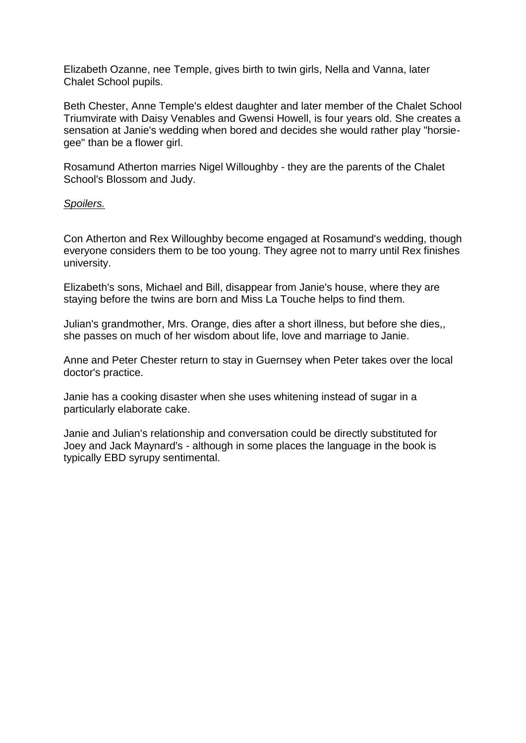Elizabeth Ozanne, nee Temple, gives birth to twin girls, Nella and Vanna, later Chalet School pupils.

Beth Chester, Anne Temple's eldest daughter and later member of the Chalet School Triumvirate with Daisy Venables and Gwensi Howell, is four years old. She creates a sensation at Janie's wedding when bored and decides she would rather play "horsiegee" than be a flower girl.

Rosamund Atherton marries Nigel Willoughby - they are the parents of the Chalet School's Blossom and Judy.

#### *Spoilers.*

Con Atherton and Rex Willoughby become engaged at Rosamund's wedding, though everyone considers them to be too young. They agree not to marry until Rex finishes university.

Elizabeth's sons, Michael and Bill, disappear from Janie's house, where they are staying before the twins are born and Miss La Touche helps to find them.

Julian's grandmother, Mrs. Orange, dies after a short illness, but before she dies,, she passes on much of her wisdom about life, love and marriage to Janie.

Anne and Peter Chester return to stay in Guernsey when Peter takes over the local doctor's practice.

Janie has a cooking disaster when she uses whitening instead of sugar in a particularly elaborate cake.

Janie and Julian's relationship and conversation could be directly substituted for Joey and Jack Maynard's - although in some places the language in the book is typically EBD syrupy sentimental.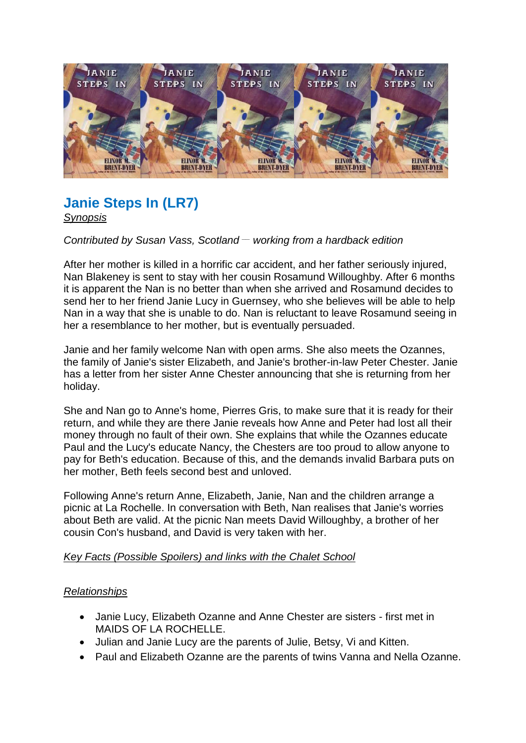

# **Janie Steps In (LR7)**

*Synopsis* 

## *Contributed by Susan Vass, Scotland \_\_ working from a hardback edition*

After her mother is killed in a horrific car accident, and her father seriously injured, Nan Blakeney is sent to stay with her cousin Rosamund Willoughby. After 6 months it is apparent the Nan is no better than when she arrived and Rosamund decides to send her to her friend Janie Lucy in Guernsey, who she believes will be able to help Nan in a way that she is unable to do. Nan is reluctant to leave Rosamund seeing in her a resemblance to her mother, but is eventually persuaded.

Janie and her family welcome Nan with open arms. She also meets the Ozannes, the family of Janie's sister Elizabeth, and Janie's brother-in-law Peter Chester. Janie has a letter from her sister Anne Chester announcing that she is returning from her holiday.

She and Nan go to Anne's home, Pierres Gris, to make sure that it is ready for their return, and while they are there Janie reveals how Anne and Peter had lost all their money through no fault of their own. She explains that while the Ozannes educate Paul and the Lucy's educate Nancy, the Chesters are too proud to allow anyone to pay for Beth's education. Because of this, and the demands invalid Barbara puts on her mother, Beth feels second best and unloved.

Following Anne's return Anne, Elizabeth, Janie, Nan and the children arrange a picnic at La Rochelle. In conversation with Beth, Nan realises that Janie's worries about Beth are valid. At the picnic Nan meets David Willoughby, a brother of her cousin Con's husband, and David is very taken with her.

## *Key Facts (Possible Spoilers) and links with the Chalet School*

## *Relationships*

- Janie Lucy, Elizabeth Ozanne and Anne Chester are sisters first met in MAIDS OF LA ROCHELLE.
- Julian and Janie Lucy are the parents of Julie, Betsy, Vi and Kitten.
- Paul and Elizabeth Ozanne are the parents of twins Vanna and Nella Ozanne.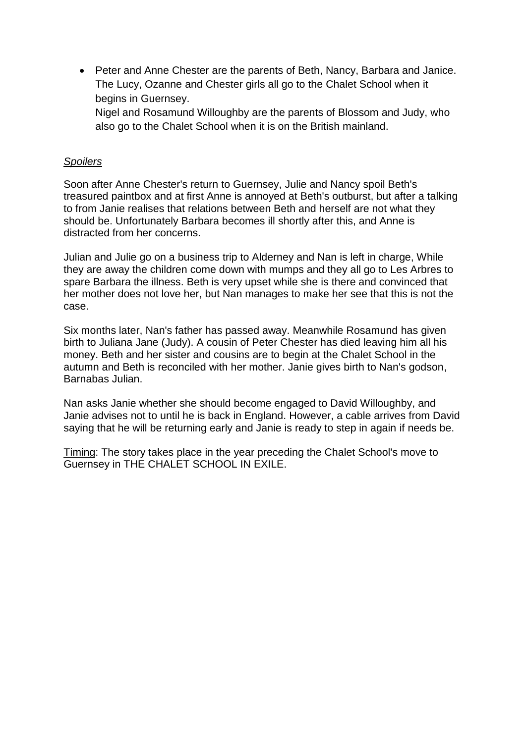• Peter and Anne Chester are the parents of Beth, Nancy, Barbara and Janice. The Lucy, Ozanne and Chester girls all go to the Chalet School when it begins in Guernsey.

Nigel and Rosamund Willoughby are the parents of Blossom and Judy, who also go to the Chalet School when it is on the British mainland.

## *Spoilers*

Soon after Anne Chester's return to Guernsey, Julie and Nancy spoil Beth's treasured paintbox and at first Anne is annoyed at Beth's outburst, but after a talking to from Janie realises that relations between Beth and herself are not what they should be. Unfortunately Barbara becomes ill shortly after this, and Anne is distracted from her concerns.

Julian and Julie go on a business trip to Alderney and Nan is left in charge, While they are away the children come down with mumps and they all go to Les Arbres to spare Barbara the illness. Beth is very upset while she is there and convinced that her mother does not love her, but Nan manages to make her see that this is not the case.

Six months later, Nan's father has passed away. Meanwhile Rosamund has given birth to Juliana Jane (Judy). A cousin of Peter Chester has died leaving him all his money. Beth and her sister and cousins are to begin at the Chalet School in the autumn and Beth is reconciled with her mother. Janie gives birth to Nan's godson, Barnabas Julian.

Nan asks Janie whether she should become engaged to David Willoughby, and Janie advises not to until he is back in England. However, a cable arrives from David saying that he will be returning early and Janie is ready to step in again if needs be.

Timing: The story takes place in the year preceding the Chalet School's move to Guernsey in THE CHALET SCHOOL IN EXILE.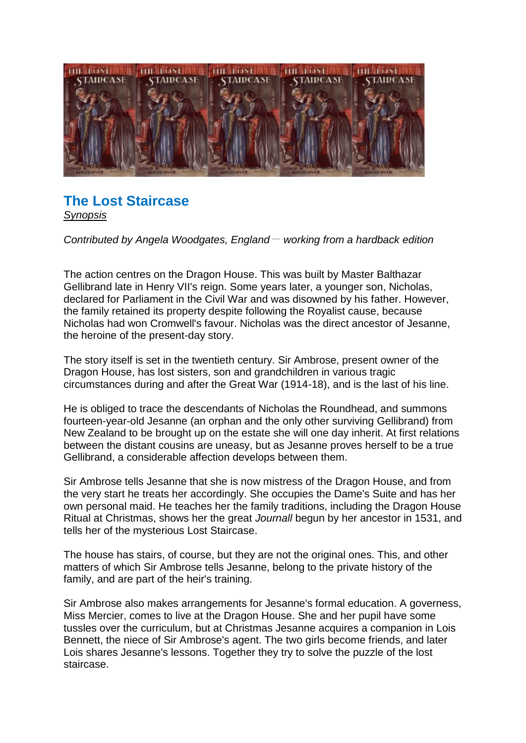

# **The Lost Staircase**  *Synopsis*

*Contributed by Angela Woodgates, England \_\_ working from a hardback edition*

The action centres on the Dragon House. This was built by Master Balthazar Gellibrand late in Henry VII's reign. Some years later, a younger son, Nicholas, declared for Parliament in the Civil War and was disowned by his father. However, the family retained its property despite following the Royalist cause, because Nicholas had won Cromwell's favour. Nicholas was the direct ancestor of Jesanne, the heroine of the present-day story.

The story itself is set in the twentieth century. Sir Ambrose, present owner of the Dragon House, has lost sisters, son and grandchildren in various tragic circumstances during and after the Great War (1914-18), and is the last of his line.

He is obliged to trace the descendants of Nicholas the Roundhead, and summons fourteen-year-old Jesanne (an orphan and the only other surviving Gellibrand) from New Zealand to be brought up on the estate she will one day inherit. At first relations between the distant cousins are uneasy, but as Jesanne proves herself to be a true Gellibrand, a considerable affection develops between them.

Sir Ambrose tells Jesanne that she is now mistress of the Dragon House, and from the very start he treats her accordingly. She occupies the Dame's Suite and has her own personal maid. He teaches her the family traditions, including the Dragon House Ritual at Christmas, shows her the great *Journall* begun by her ancestor in 1531, and tells her of the mysterious Lost Staircase.

The house has stairs, of course, but they are not the original ones. This, and other matters of which Sir Ambrose tells Jesanne, belong to the private history of the family, and are part of the heir's training.

Sir Ambrose also makes arrangements for Jesanne's formal education. A governess, Miss Mercier, comes to live at the Dragon House. She and her pupil have some tussles over the curriculum, but at Christmas Jesanne acquires a companion in Lois Bennett, the niece of Sir Ambrose's agent. The two girls become friends, and later Lois shares Jesanne's lessons. Together they try to solve the puzzle of the lost staircase.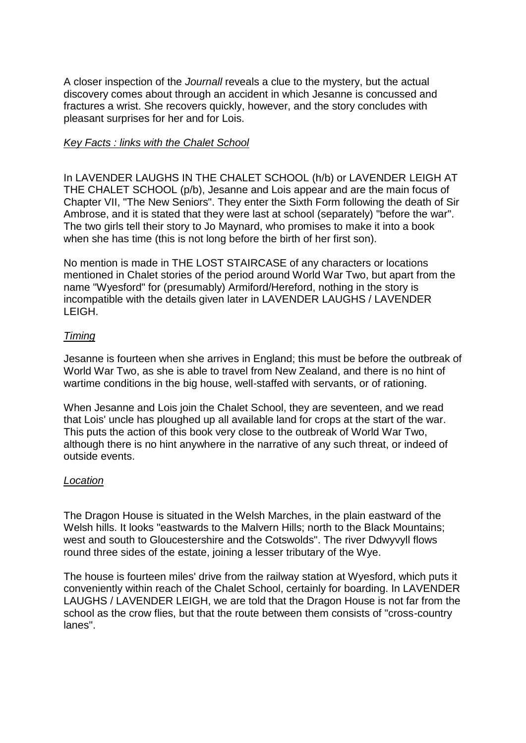A closer inspection of the *Journall* reveals a clue to the mystery, but the actual discovery comes about through an accident in which Jesanne is concussed and fractures a wrist. She recovers quickly, however, and the story concludes with pleasant surprises for her and for Lois.

## *Key Facts : links with the Chalet School*

In LAVENDER LAUGHS IN THE CHALET SCHOOL (h/b) or LAVENDER LEIGH AT THE CHALET SCHOOL (p/b), Jesanne and Lois appear and are the main focus of Chapter VII, "The New Seniors". They enter the Sixth Form following the death of Sir Ambrose, and it is stated that they were last at school (separately) "before the war". The two girls tell their story to Jo Maynard, who promises to make it into a book when she has time (this is not long before the birth of her first son).

No mention is made in THE LOST STAIRCASE of any characters or locations mentioned in Chalet stories of the period around World War Two, but apart from the name "Wyesford" for (presumably) Armiford/Hereford, nothing in the story is incompatible with the details given later in LAVENDER LAUGHS / LAVENDER LEIGH.

## *Timing*

Jesanne is fourteen when she arrives in England; this must be before the outbreak of World War Two, as she is able to travel from New Zealand, and there is no hint of wartime conditions in the big house, well-staffed with servants, or of rationing.

When Jesanne and Lois join the Chalet School, they are seventeen, and we read that Lois' uncle has ploughed up all available land for crops at the start of the war. This puts the action of this book very close to the outbreak of World War Two, although there is no hint anywhere in the narrative of any such threat, or indeed of outside events.

## *Location*

The Dragon House is situated in the Welsh Marches, in the plain eastward of the Welsh hills. It looks "eastwards to the Malvern Hills; north to the Black Mountains; west and south to Gloucestershire and the Cotswolds". The river Ddwyvyll flows round three sides of the estate, joining a lesser tributary of the Wye.

The house is fourteen miles' drive from the railway station at Wyesford, which puts it conveniently within reach of the Chalet School, certainly for boarding. In LAVENDER LAUGHS / LAVENDER LEIGH, we are told that the Dragon House is not far from the school as the crow flies, but that the route between them consists of "cross-country lanes".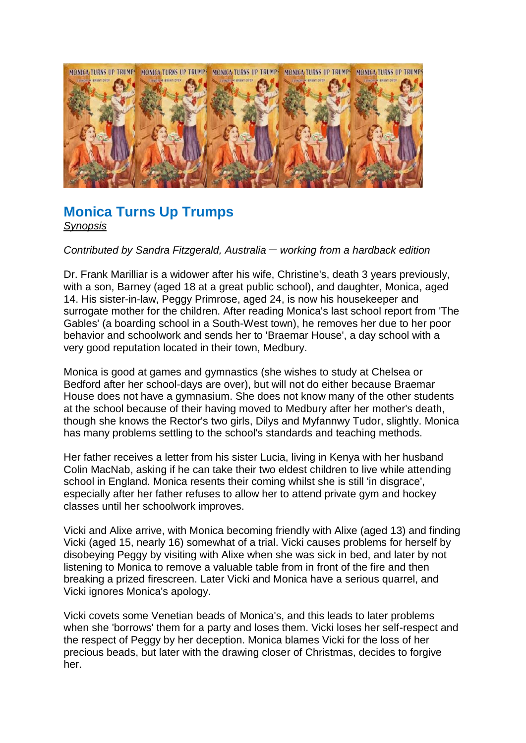

# **Monica Turns Up Trumps**  *Synopsis*

## *Contributed by Sandra Fitzgerald, Australia \_\_ working from a hardback edition*

Dr. Frank Marilliar is a widower after his wife, Christine's, death 3 years previously, with a son, Barney (aged 18 at a great public school), and daughter, Monica, aged 14. His sister-in-law, Peggy Primrose, aged 24, is now his housekeeper and surrogate mother for the children. After reading Monica's last school report from 'The Gables' (a boarding school in a South-West town), he removes her due to her poor behavior and schoolwork and sends her to 'Braemar House', a day school with a very good reputation located in their town, Medbury.

Monica is good at games and gymnastics (she wishes to study at Chelsea or Bedford after her school-days are over), but will not do either because Braemar House does not have a gymnasium. She does not know many of the other students at the school because of their having moved to Medbury after her mother's death, though she knows the Rector's two girls, Dilys and Myfannwy Tudor, slightly. Monica has many problems settling to the school's standards and teaching methods.

Her father receives a letter from his sister Lucia, living in Kenya with her husband Colin MacNab, asking if he can take their two eldest children to live while attending school in England. Monica resents their coming whilst she is still 'in disgrace', especially after her father refuses to allow her to attend private gym and hockey classes until her schoolwork improves.

Vicki and Alixe arrive, with Monica becoming friendly with Alixe (aged 13) and finding Vicki (aged 15, nearly 16) somewhat of a trial. Vicki causes problems for herself by disobeying Peggy by visiting with Alixe when she was sick in bed, and later by not listening to Monica to remove a valuable table from in front of the fire and then breaking a prized firescreen. Later Vicki and Monica have a serious quarrel, and Vicki ignores Monica's apology.

Vicki covets some Venetian beads of Monica's, and this leads to later problems when she 'borrows' them for a party and loses them. Vicki loses her self-respect and the respect of Peggy by her deception. Monica blames Vicki for the loss of her precious beads, but later with the drawing closer of Christmas, decides to forgive her.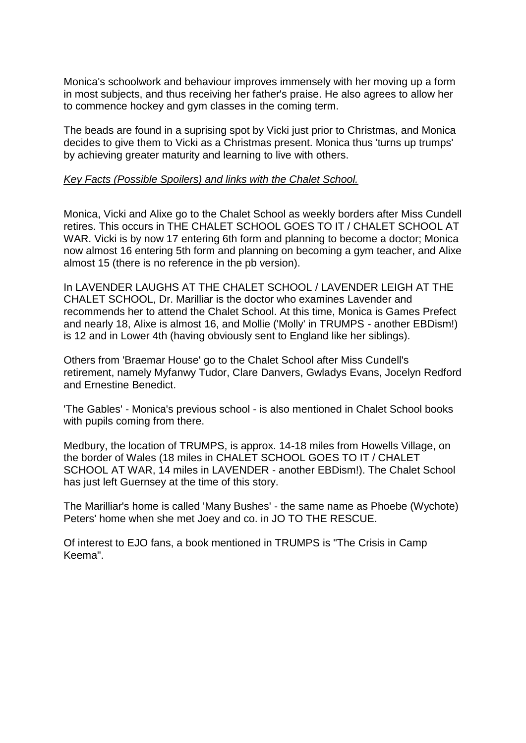Monica's schoolwork and behaviour improves immensely with her moving up a form in most subjects, and thus receiving her father's praise. He also agrees to allow her to commence hockey and gym classes in the coming term.

The beads are found in a suprising spot by Vicki just prior to Christmas, and Monica decides to give them to Vicki as a Christmas present. Monica thus 'turns up trumps' by achieving greater maturity and learning to live with others.

#### *Key Facts (Possible Spoilers) and links with the Chalet School.*

Monica, Vicki and Alixe go to the Chalet School as weekly borders after Miss Cundell retires. This occurs in THE CHALET SCHOOL GOES TO IT / CHALET SCHOOL AT WAR. Vicki is by now 17 entering 6th form and planning to become a doctor; Monica now almost 16 entering 5th form and planning on becoming a gym teacher, and Alixe almost 15 (there is no reference in the pb version).

In LAVENDER LAUGHS AT THE CHALET SCHOOL / LAVENDER LEIGH AT THE CHALET SCHOOL, Dr. Marilliar is the doctor who examines Lavender and recommends her to attend the Chalet School. At this time, Monica is Games Prefect and nearly 18, Alixe is almost 16, and Mollie ('Molly' in TRUMPS - another EBDism!) is 12 and in Lower 4th (having obviously sent to England like her siblings).

Others from 'Braemar House' go to the Chalet School after Miss Cundell's retirement, namely Myfanwy Tudor, Clare Danvers, Gwladys Evans, Jocelyn Redford and Ernestine Benedict.

'The Gables' - Monica's previous school - is also mentioned in Chalet School books with pupils coming from there.

Medbury, the location of TRUMPS, is approx. 14-18 miles from Howells Village, on the border of Wales (18 miles in CHALET SCHOOL GOES TO IT / CHALET SCHOOL AT WAR, 14 miles in LAVENDER - another EBDism!). The Chalet School has just left Guernsey at the time of this story.

The Marilliar's home is called 'Many Bushes' - the same name as Phoebe (Wychote) Peters' home when she met Joey and co. in JO TO THE RESCUE.

Of interest to EJO fans, a book mentioned in TRUMPS is "The Crisis in Camp Keema".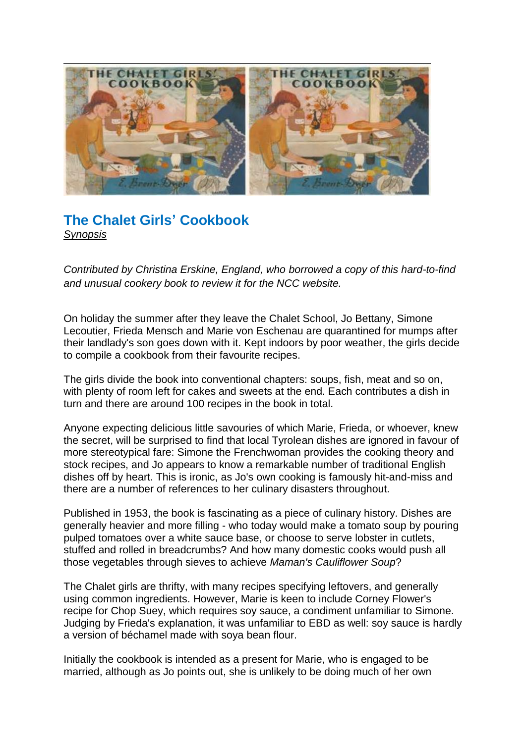

# **The Chalet Girls' Cookbook**  *Synopsis*

*Contributed by Christina Erskine, England, who borrowed a copy of this hard-to-find and unusual cookery book to review it for the NCC website.* 

On holiday the summer after they leave the Chalet School, Jo Bettany, Simone Lecoutier, Frieda Mensch and Marie von Eschenau are quarantined for mumps after their landlady's son goes down with it. Kept indoors by poor weather, the girls decide to compile a cookbook from their favourite recipes.

The girls divide the book into conventional chapters: soups, fish, meat and so on, with plenty of room left for cakes and sweets at the end. Each contributes a dish in turn and there are around 100 recipes in the book in total.

Anyone expecting delicious little savouries of which Marie, Frieda, or whoever, knew the secret, will be surprised to find that local Tyrolean dishes are ignored in favour of more stereotypical fare: Simone the Frenchwoman provides the cooking theory and stock recipes, and Jo appears to know a remarkable number of traditional English dishes off by heart. This is ironic, as Jo's own cooking is famously hit-and-miss and there are a number of references to her culinary disasters throughout.

Published in 1953, the book is fascinating as a piece of culinary history. Dishes are generally heavier and more filling - who today would make a tomato soup by pouring pulped tomatoes over a white sauce base, or choose to serve lobster in cutlets, stuffed and rolled in breadcrumbs? And how many domestic cooks would push all those vegetables through sieves to achieve *Maman's Cauliflower Soup*?

The Chalet girls are thrifty, with many recipes specifying leftovers, and generally using common ingredients. However, Marie is keen to include Corney Flower's recipe for Chop Suey, which requires soy sauce, a condiment unfamiliar to Simone. Judging by Frieda's explanation, it was unfamiliar to EBD as well: soy sauce is hardly a version of béchamel made with soya bean flour.

Initially the cookbook is intended as a present for Marie, who is engaged to be married, although as Jo points out, she is unlikely to be doing much of her own